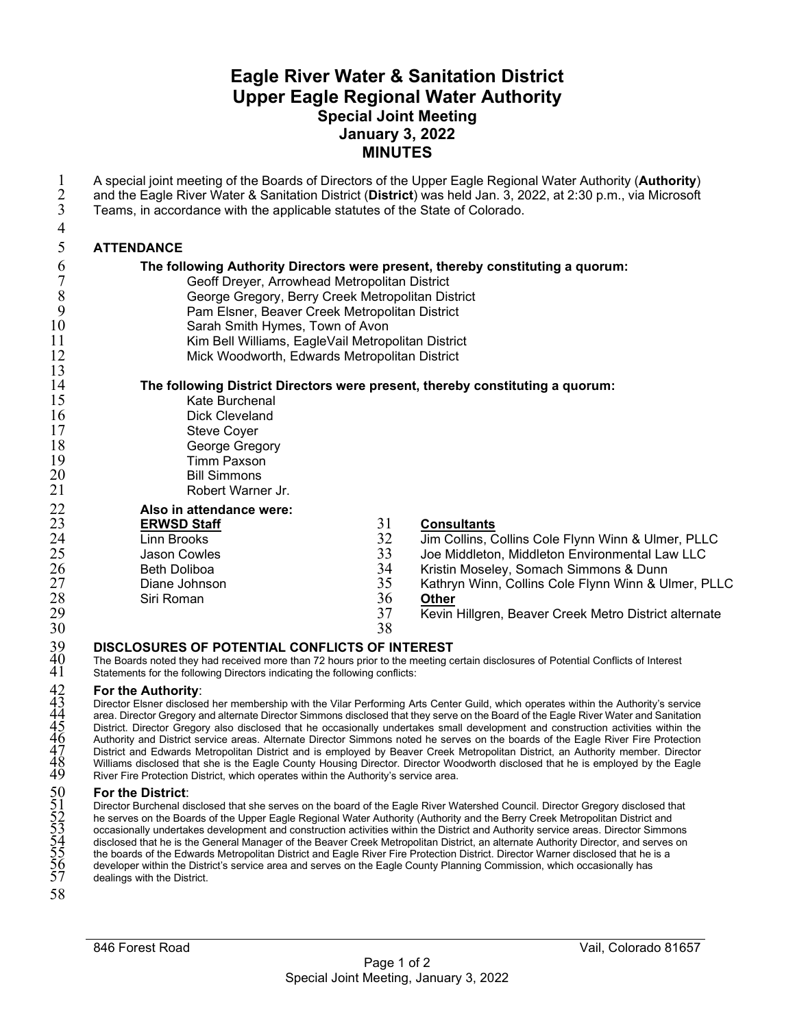# **Eagle River Water & Sanitation District Upper Eagle Regional Water Authority Special Joint Meeting January 3, 2022 MINUTES**

| $\mathbf 1$<br>$\overline{2}$<br>3<br>4                 | A special joint meeting of the Boards of Directors of the Upper Eagle Regional Water Authority (Authority)<br>and the Eagle River Water & Sanitation District (District) was held Jan. 3, 2022, at 2:30 p.m., via Microsoft<br>Teams, in accordance with the applicable statutes of the State of Colorado.                                                                                                                                                                                                                                                                                                                                                                                                                                                                                                                                                                                                                                |
|---------------------------------------------------------|-------------------------------------------------------------------------------------------------------------------------------------------------------------------------------------------------------------------------------------------------------------------------------------------------------------------------------------------------------------------------------------------------------------------------------------------------------------------------------------------------------------------------------------------------------------------------------------------------------------------------------------------------------------------------------------------------------------------------------------------------------------------------------------------------------------------------------------------------------------------------------------------------------------------------------------------|
| 5                                                       | <b>ATTENDANCE</b>                                                                                                                                                                                                                                                                                                                                                                                                                                                                                                                                                                                                                                                                                                                                                                                                                                                                                                                         |
| 6                                                       | The following Authority Directors were present, thereby constituting a quorum:                                                                                                                                                                                                                                                                                                                                                                                                                                                                                                                                                                                                                                                                                                                                                                                                                                                            |
| $\overline{7}$                                          | Geoff Dreyer, Arrowhead Metropolitan District                                                                                                                                                                                                                                                                                                                                                                                                                                                                                                                                                                                                                                                                                                                                                                                                                                                                                             |
| 8                                                       | George Gregory, Berry Creek Metropolitan District                                                                                                                                                                                                                                                                                                                                                                                                                                                                                                                                                                                                                                                                                                                                                                                                                                                                                         |
| 9<br>10                                                 | Pam Elsner, Beaver Creek Metropolitan District<br>Sarah Smith Hymes, Town of Avon                                                                                                                                                                                                                                                                                                                                                                                                                                                                                                                                                                                                                                                                                                                                                                                                                                                         |
| 11                                                      | Kim Bell Williams, EagleVail Metropolitan District                                                                                                                                                                                                                                                                                                                                                                                                                                                                                                                                                                                                                                                                                                                                                                                                                                                                                        |
| 12                                                      | Mick Woodworth, Edwards Metropolitan District                                                                                                                                                                                                                                                                                                                                                                                                                                                                                                                                                                                                                                                                                                                                                                                                                                                                                             |
| 13                                                      |                                                                                                                                                                                                                                                                                                                                                                                                                                                                                                                                                                                                                                                                                                                                                                                                                                                                                                                                           |
| 14                                                      | The following District Directors were present, thereby constituting a quorum:                                                                                                                                                                                                                                                                                                                                                                                                                                                                                                                                                                                                                                                                                                                                                                                                                                                             |
| 15<br>16                                                | Kate Burchenal<br><b>Dick Cleveland</b>                                                                                                                                                                                                                                                                                                                                                                                                                                                                                                                                                                                                                                                                                                                                                                                                                                                                                                   |
| 17                                                      | Steve Coyer                                                                                                                                                                                                                                                                                                                                                                                                                                                                                                                                                                                                                                                                                                                                                                                                                                                                                                                               |
| 18                                                      | George Gregory                                                                                                                                                                                                                                                                                                                                                                                                                                                                                                                                                                                                                                                                                                                                                                                                                                                                                                                            |
| 19                                                      | <b>Timm Paxson</b>                                                                                                                                                                                                                                                                                                                                                                                                                                                                                                                                                                                                                                                                                                                                                                                                                                                                                                                        |
| 20                                                      | <b>Bill Simmons</b>                                                                                                                                                                                                                                                                                                                                                                                                                                                                                                                                                                                                                                                                                                                                                                                                                                                                                                                       |
| 21                                                      | Robert Warner Jr.                                                                                                                                                                                                                                                                                                                                                                                                                                                                                                                                                                                                                                                                                                                                                                                                                                                                                                                         |
| 22<br>23<br>24<br>25<br>26<br>27<br>28<br>29<br>30      | Also in attendance were:<br>31<br><b>ERWSD Staff</b><br><b>Consultants</b><br>32<br>Jim Collins, Collins Cole Flynn Winn & Ulmer, PLLC<br>Linn Brooks<br>33<br>Joe Middleton, Middleton Environmental Law LLC<br>Jason Cowles<br>34<br><b>Beth Doliboa</b><br>Kristin Moseley, Somach Simmons & Dunn<br>35<br>Diane Johnson<br>Kathryn Winn, Collins Cole Flynn Winn & Ulmer, PLLC<br>36<br>Siri Roman<br><b>Other</b><br>37<br>Kevin Hillgren, Beaver Creek Metro District alternate<br>38                                                                                                                                                                                                                                                                                                                                                                                                                                               |
|                                                         | <b>DISCLOSURES OF POTENTIAL CONFLICTS OF INTEREST</b>                                                                                                                                                                                                                                                                                                                                                                                                                                                                                                                                                                                                                                                                                                                                                                                                                                                                                     |
| $\begin{array}{c} 39 \\ 40 \\ 41 \end{array}$           | The Boards noted they had received more than 72 hours prior to the meeting certain disclosures of Potential Conflicts of Interest<br>Statements for the following Directors indicating the following conflicts:                                                                                                                                                                                                                                                                                                                                                                                                                                                                                                                                                                                                                                                                                                                           |
| $42$<br>$43$<br>$44$<br>$45$<br>$46$<br>$\frac{47}{48}$ | For the Authority:<br>Director Elsner disclosed her membership with the Vilar Performing Arts Center Guild, which operates within the Authority's service<br>area. Director Gregory and alternate Director Simmons disclosed that they serve on the Board of the Eagle River Water and Sanitation<br>District. Director Gregory also disclosed that he occasionally undertakes small development and construction activities within the<br>Authority and District service areas. Alternate Director Simmons noted he serves on the boards of the Eagle River Fire Protection<br>District and Edwards Metropolitan District and is employed by Beaver Creek Metropolitan District, an Authority member. Director<br>Williams disclosed that she is the Eagle County Housing Director. Director Woodworth disclosed that he is employed by the Eagle<br>River Fire Protection District, which operates within the Authority's service area. |
| 50<br>51<br>52<br>53<br>55<br>55<br>55<br>57            | <b>For the District:</b><br>Director Burchenal disclosed that she serves on the board of the Eagle River Watershed Council. Director Gregory disclosed that<br>he serves on the Boards of the Upper Eagle Regional Water Authority (Authority and the Berry Creek Metropolitan District and<br>occasionally undertakes development and construction activities within the District and Authority service areas. Director Simmons<br>disclosed that he is the General Manager of the Beaver Creek Metropolitan District, an alternate Authority Director, and serves on<br>the boards of the Edwards Metropolitan District and Eagle River Fire Protection District. Director Warner disclosed that he is a<br>developer within the District's service area and serves on the Eagle County Planning Commission, which occasionally has<br>dealings with the District.                                                                      |